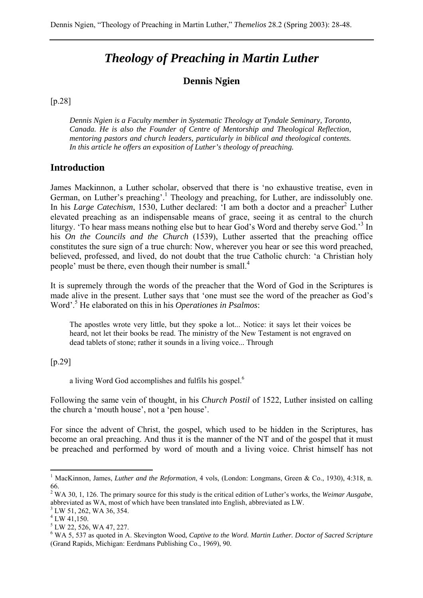# *Theology of Preaching in Martin Luther*

### **Dennis Ngien**

[p.28]

*Dennis Ngien is a Faculty member in Systematic Theology at Tyndale Seminary, Toronto, Canada. He is also the Founder of Centre of Mentorship and Theological Reflection, mentoring pastors and church leaders, particularly in biblical and theological contents. In this article he offers an exposition of Luther's theology of preaching.* 

#### **Introduction**

James Mackinnon, a Luther scholar, observed that there is 'no exhaustive treatise, even in German, on Luther's preaching'.<sup>1</sup> Theology and preaching, for Luther, are indissolubly one. In his *Large Catechism*, 1530, Luther declared: 'I am both a doctor and a preacher<sup>2</sup> Luther elevated preaching as an indispensable means of grace, seeing it as central to the church liturgy. 'To hear mass means nothing else but to hear God's Word and thereby serve God.'<sup>3</sup> In his *On the Councils and the Church* (1539), Luther asserted that the preaching office constitutes the sure sign of a true church: Now, wherever you hear or see this word preached, believed, professed, and lived, do not doubt that the true Catholic church: 'a Christian holy people' must be there, even though their number is small.4

It is supremely through the words of the preacher that the Word of God in the Scriptures is made alive in the present. Luther says that 'one must see the word of the preacher as God's Word'.5 He elaborated on this in his *Operationes in Psalmos*:

The apostles wrote very little, but they spoke a lot... Notice: it says let their voices be heard, not let their books be read. The ministry of the New Testament is not engraved on dead tablets of stone; rather it sounds in a living voice... Through

#### [p.29]

a living Word God accomplishes and fulfils his gospel.<sup>6</sup>

Following the same vein of thought, in his *Church Postil* of 1522, Luther insisted on calling the church a 'mouth house', not a 'pen house'.

For since the advent of Christ, the gospel, which used to be hidden in the Scriptures, has become an oral preaching. And thus it is the manner of the NT and of the gospel that it must be preached and performed by word of mouth and a living voice. Christ himself has not

<sup>&</sup>lt;sup>1</sup> MacKinnon, James, *Luther and the Reformation*, 4 vols, (London: Longmans, Green & Co., 1930), 4:318, n. 66.

<sup>2</sup> WA 30, 1, 126. The primary source for this study is the critical edition of Luther's works, the *Weimar Ausgabe*, abbreviated as WA, most of which have been translated into English, abbreviated as LW. 3

 $3$  LW 51, 262, WA 36, 354.

 $4$  LW 41,150.

 $<sup>5</sup>$  LW 22, 526, WA 47, 227.</sup>

<sup>6</sup> WA 5, 537 as quoted in A. Skevington Wood, *Captive to the Word. Martin Luther. Doctor of Sacred Scripture*  (Grand Rapids, Michigan: Eerdmans Publishing Co., 1969), 90.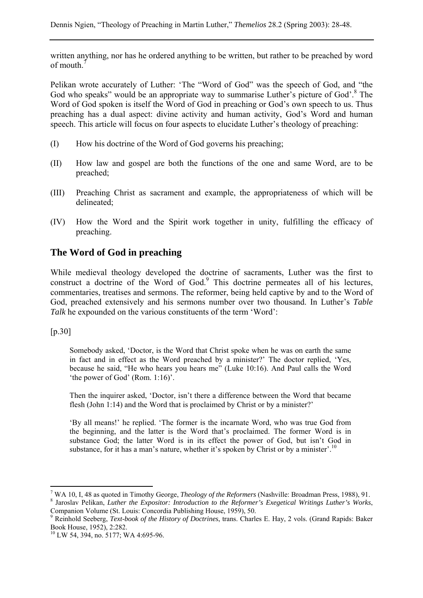written anything, nor has he ordered anything to be written, but rather to be preached by word of mouth.<sup>7</sup>

Pelikan wrote accurately of Luther: 'The "Word of God" was the speech of God, and "the God who speaks" would be an appropriate way to summarise Luther's picture of God'.<sup>8</sup> The Word of God spoken is itself the Word of God in preaching or God's own speech to us. Thus preaching has a dual aspect: divine activity and human activity, God's Word and human speech. This article will focus on four aspects to elucidate Luther's theology of preaching:

- (I) How his doctrine of the Word of God governs his preaching;
- (II) How law and gospel are both the functions of the one and same Word, are to be preached;
- (III) Preaching Christ as sacrament and example, the appropriateness of which will be delineated;
- (IV) How the Word and the Spirit work together in unity, fulfilling the efficacy of preaching.

# **The Word of God in preaching**

While medieval theology developed the doctrine of sacraments, Luther was the first to construct a doctrine of the Word of God.<sup>9</sup> This doctrine permeates all of his lectures, commentaries, treatises and sermons. The reformer, being held captive by and to the Word of God, preached extensively and his sermons number over two thousand. In Luther's *Table Talk* he expounded on the various constituents of the term 'Word':

[p.30]

 $\overline{a}$ 

Somebody asked, 'Doctor, is the Word that Christ spoke when he was on earth the same in fact and in effect as the Word preached by a minister?' The doctor replied, 'Yes, because he said, "He who hears you hears me" (Luke 10:16). And Paul calls the Word 'the power of God' (Rom. 1:16)'.

Then the inquirer asked, 'Doctor, isn't there a difference between the Word that became flesh (John 1:14) and the Word that is proclaimed by Christ or by a minister?'

'By all means!' he replied. 'The former is the incarnate Word, who was true God from the beginning, and the latter is the Word that's proclaimed. The former Word is in substance God; the latter Word is in its effect the power of God, but isn't God in substance, for it has a man's nature, whether it's spoken by Christ or by a minister'.<sup>10</sup>

<sup>&</sup>lt;sup>7</sup> WA 10. I. 48 as quoted in Timothy George. *Theology of the Reformers* (Nashville: Broadman Press. 1988). 91. <sup>7</sup> WA 10, I, 48 as quoted in Timothy George, *Theology of the Reformers* (Nashville: Broadman Press, 1988), 91.<br><sup>8</sup> Jaroslav Pelikan, *Luther the Expositor: Introduction to the Reformer's Exegetical Writings Luther's Wor* 

Companion Volume (St. Louis: Concordia Publishing House, 1959), 50.

<sup>9</sup> Reinhold Seeberg, *Text-book of the History of Doctrines*, trans. Charles E. Hay, 2 vols. (Grand Rapids: Baker Book House, 1952), 2:282.

<sup>&</sup>lt;sup>10</sup> LW 54, 394, no. 5177; WA 4:695-96.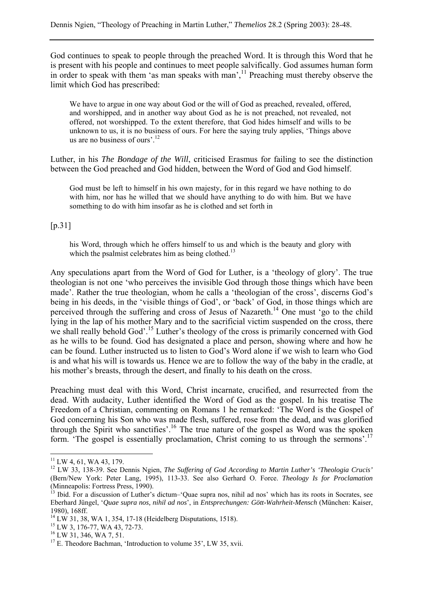God continues to speak to people through the preached Word. It is through this Word that he is present with his people and continues to meet people salvifically. God assumes human form in order to speak with them 'as man speaks with man', $<sup>11</sup>$  Preaching must thereby observe the</sup> limit which God has prescribed:

We have to argue in one way about God or the will of God as preached, revealed, offered, and worshipped, and in another way about God as he is not preached, not revealed, not offered, not worshipped. To the extent therefore, that God hides himself and wills to be unknown to us, it is no business of ours. For here the saying truly applies, 'Things above us are no business of ours'.<sup>12</sup>

Luther, in his *The Bondage of the Will*, criticised Erasmus for failing to see the distinction between the God preached and God hidden, between the Word of God and God himself.

God must be left to himself in his own majesty, for in this regard we have nothing to do with him, nor has he willed that we should have anything to do with him. But we have something to do with him insofar as he is clothed and set forth in

[p.31]

his Word, through which he offers himself to us and which is the beauty and glory with which the psalmist celebrates him as being clothed.<sup>13</sup>

Any speculations apart from the Word of God for Luther, is a 'theology of glory'. The true theologian is not one 'who perceives the invisible God through those things which have been made'. Rather the true theologian, whom he calls a 'theologian of the cross', discerns God's being in his deeds, in the 'visible things of God', or 'back' of God, in those things which are perceived through the suffering and cross of Jesus of Nazareth.<sup>14</sup> One must 'go to the child lying in the lap of his mother Mary and to the sacrificial victim suspended on the cross, there we shall really behold God'.<sup>15</sup> Luther's theology of the cross is primarily concerned with God as he wills to be found. God has designated a place and person, showing where and how he can be found. Luther instructed us to listen to God's Word alone if we wish to learn who God is and what his will is towards us. Hence we are to follow the way of the baby in the cradle, at his mother's breasts, through the desert, and finally to his death on the cross.

Preaching must deal with this Word, Christ incarnate, crucified, and resurrected from the dead. With audacity, Luther identified the Word of God as the gospel. In his treatise The Freedom of a Christian, commenting on Romans 1 he remarked: 'The Word is the Gospel of God concerning his Son who was made flesh, suffered, rose from the dead, and was glorified through the Spirit who sanctifies'.<sup>16</sup> The true nature of the gospel as Word was the spoken form. 'The gospel is essentially proclamation, Christ coming to us through the sermons'.<sup>17</sup>

 $11$  LW 4, 61, WA 43, 179.

<sup>12</sup> LW 33, 138-39. See Dennis Ngien, *The Suffering of God According to Martin Luther's 'Theologia Crucis'* (Bern/New York: Peter Lang, 1995), 113-33. See also Gerhard O. Force. *Theology Is for Proclamation* (Minneapolis: Fortress Press, 1990).

 $13$  Ibid. For a discussion of Luther's dictum–'Quae supra nos, nihil ad nos' which has its roots in Socrates, see Eberhard Jüngel, '*Quae supra nos, nihil ad nos*', in *Entsprechungen: Gött-Wahrheit-Mensch* (München: Kaiser, 1980), 168ff.

<sup>14</sup> LW 31, 38, WA 1, 354, 17-18 (Heidelberg Disputations, 1518).

<sup>15</sup> LW 3, 176-77, WA 43, 72-73.

 $16$  LW 31, 346, WA 7, 51.

<sup>&</sup>lt;sup>17</sup> E. Theodore Bachman, 'Introduction to volume 35', LW 35, xvii.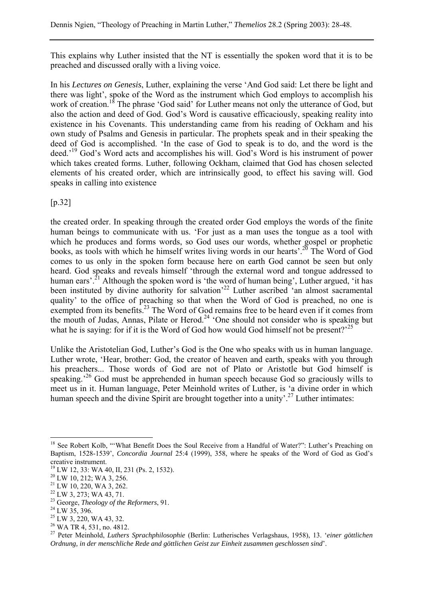This explains why Luther insisted that the NT is essentially the spoken word that it is to be preached and discussed orally with a living voice.

In his *Lectures on Genesis*, Luther, explaining the verse 'And God said: Let there be light and there was light', spoke of the Word as the instrument which God employs to accomplish his work of creation.<sup>18</sup> The phrase 'God said' for Luther means not only the utterance of God, but also the action and deed of God. God's Word is causative efficaciously, speaking reality into existence in his Covenants. This understanding came from his reading of Ockham and his own study of Psalms and Genesis in particular. The prophets speak and in their speaking the deed of God is accomplished. 'In the case of God to speak is to do, and the word is the deed.'19 God's Word acts and accomplishes his will. God's Word is his instrument of power which takes created forms. Luther, following Ockham, claimed that God has chosen selected elements of his created order, which are intrinsically good, to effect his saving will. God speaks in calling into existence

[p.32]

the created order. In speaking through the created order God employs the words of the finite human beings to communicate with us. 'For just as a man uses the tongue as a tool with which he produces and forms words, so God uses our words, whether gospel or prophetic books, as tools with which he himself writes living words in our hearts'.20 The Word of God comes to us only in the spoken form because here on earth God cannot be seen but only heard. God speaks and reveals himself 'through the external word and tongue addressed to human ears'.<sup>21</sup> Although the spoken word is 'the word of human being', Luther argued, 'it has been instituted by divine authority for salvation<sup>22</sup> Luther ascribed 'an almost sacramental quality' to the office of preaching so that when the Word of God is preached, no one is exempted from its benefits.<sup>23</sup> The Word of God remains free to be heard even if it comes from the mouth of Judas, Annas, Pilate or Herod.<sup>24</sup> 'One should not consider who is speaking but what he is saying: for if it is the Word of God how would God himself not be present?<sup>25</sup>

Unlike the Aristotelian God, Luther's God is the One who speaks with us in human language. Luther wrote, 'Hear, brother: God, the creator of heaven and earth, speaks with you through his preachers... Those words of God are not of Plato or Aristotle but God himself is speaking.<sup>26</sup> God must be apprehended in human speech because God so graciously wills to meet us in it. Human language, Peter Meinhold writes of Luther, is 'a divine order in which human speech and the divine Spirit are brought together into a unity'.<sup>27</sup> Luther intimates:

<sup>&</sup>lt;sup>18</sup> See Robert Kolb, "'What Benefit Does the Soul Receive from a Handful of Water?": Luther's Preaching on Baptism, 1528-1539', *Concordia Journal* 25:4 (1999), 358, where he speaks of the Word of God as God's creative instrument.

<sup>19</sup> LW 12, 33: WA 40, II, 231 (Ps. 2, 1532).

<sup>20</sup> LW 10, 212; WA 3, 256.

<sup>21</sup> LW 10, 220, WA 3, 262.

<sup>22</sup> LW 3, 273; WA 43, 71.

<sup>23</sup> George, *Theology of the Reformers*, 91. 24 LW 35, 396.

 $25$  LW 3, 220, WA 43, 32.

<sup>26</sup> WA TR 4, 531, no. 4812.

<sup>27</sup> Peter Meinhold, *Luthers Sprachphilosophie* (Berlin: Lutherisches Verlagshaus, 1958), 13. '*einer göttlichen Ordnung, in der menschliche Rede and göttlichen Geist zur Einheit zusammen geschlossen sind*'.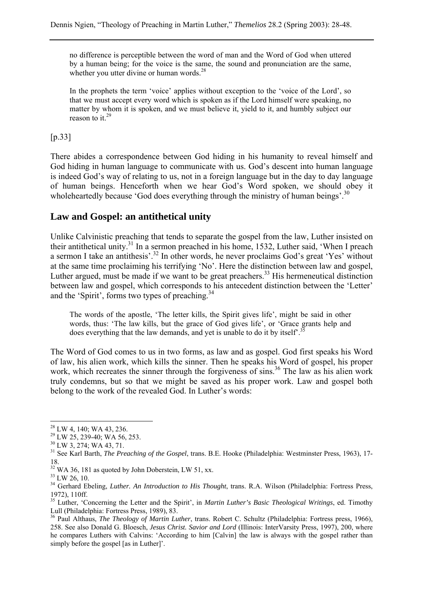no difference is perceptible between the word of man and the Word of God when uttered by a human being; for the voice is the same, the sound and pronunciation are the same, whether you utter divine or human words.<sup>28</sup>

In the prophets the term 'voice' applies without exception to the 'voice of the Lord', so that we must accept every word which is spoken as if the Lord himself were speaking, no matter by whom it is spoken, and we must believe it, yield to it, and humbly subject our reason to it. $^{29}$ 

### [p.33]

There abides a correspondence between God hiding in his humanity to reveal himself and God hiding in human language to communicate with us. God's descent into human language is indeed God's way of relating to us, not in a foreign language but in the day to day language of human beings. Henceforth when we hear God's Word spoken, we should obey it wholeheartedly because 'God does everything through the ministry of human beings'.<sup>30</sup>

# **Law and Gospel: an antithetical unity**

Unlike Calvinistic preaching that tends to separate the gospel from the law, Luther insisted on their antithetical unity.31 In a sermon preached in his home, 1532, Luther said, 'When I preach a sermon I take an antithesis'.<sup>32</sup> In other words, he never proclaims God's great 'Yes' without at the same time proclaiming his terrifying 'No'. Here the distinction between law and gospel, Luther argued, must be made if we want to be great preachers.<sup>33</sup> His hermeneutical distinction between law and gospel, which corresponds to his antecedent distinction between the 'Letter' and the 'Spirit', forms two types of preaching. $34$ 

The words of the apostle, 'The letter kills, the Spirit gives life', might be said in other words, thus: 'The law kills, but the grace of God gives life', or 'Grace grants help and does everything that the law demands, and yet is unable to do it by itself.<sup>35</sup>

The Word of God comes to us in two forms, as law and as gospel. God first speaks his Word of law, his alien work, which kills the sinner. Then he speaks his Word of gospel, his proper work, which recreates the sinner through the forgiveness of sins.<sup>36</sup> The law as his alien work truly condemns, but so that we might be saved as his proper work. Law and gospel both belong to the work of the revealed God. In Luther's words:

<sup>28</sup> LW 4, 140; WA 43, 236.

 $29$  LW 25, 239-40; WA 56, 253.

<sup>30</sup> LW 3, 274; WA 43, 71.

<sup>&</sup>lt;sup>31</sup> See Karl Barth, *The Preaching of the Gospel*, trans. B.E. Hooke (Philadelphia: Westminster Press, 1963), 17-18.

<sup>&</sup>lt;sup>32</sup> WA 36, 181 as quoted by John Doberstein, LW 51, xx.

 $33$  LW 26, 10.

<sup>&</sup>lt;sup>34</sup> Gerhard Ebeling, *Luther. An Introduction to His Thought*, trans. R.A. Wilson (Philadelphia: Fortress Press, 1972), 110ff.

<sup>&</sup>lt;sup>35</sup> Luther, 'Concerning the Letter and the Spirit', in *Martin Luther's Basic Theological Writings*, ed. Timothy Lull (Philadelphia: Fortress Press, 1989), 83.

<sup>&</sup>lt;sup>36</sup> Paul Althaus, *The Theology of Martin Luther*, trans. Robert C. Schultz (Philadelphia: Fortress press, 1966), 258. See also Donald G. Bloesch, *Jesus Christ. Savior and Lord* (Illinois: InterVarsity Press, 1997), 200, where he compares Luthers with Calvins: 'According to him [Calvin] the law is always with the gospel rather than simply before the gospel [as in Luther]'.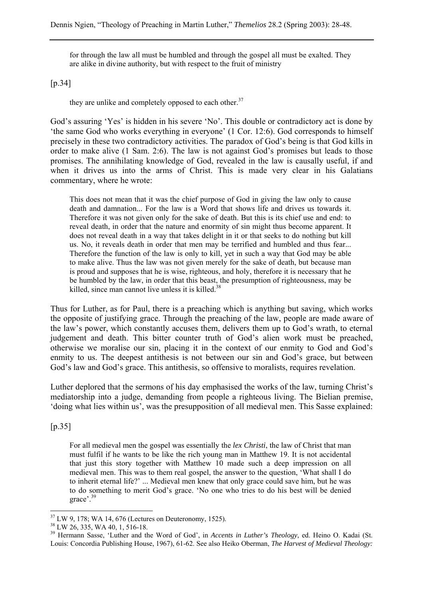for through the law all must be humbled and through the gospel all must be exalted. They are alike in divine authority, but with respect to the fruit of ministry

#### [p.34]

they are unlike and completely opposed to each other.<sup>37</sup>

God's assuring 'Yes' is hidden in his severe 'No'. This double or contradictory act is done by 'the same God who works everything in everyone' (1 Cor. 12:6). God corresponds to himself precisely in these two contradictory activities. The paradox of God's being is that God kills in order to make alive (1 Sam. 2:6). The law is not against God's promises but leads to those promises. The annihilating knowledge of God, revealed in the law is causally useful, if and when it drives us into the arms of Christ. This is made very clear in his Galatians commentary, where he wrote:

This does not mean that it was the chief purpose of God in giving the law only to cause death and damnation... For the law is a Word that shows life and drives us towards it. Therefore it was not given only for the sake of death. But this is its chief use and end: to reveal death, in order that the nature and enormity of sin might thus become apparent. It does not reveal death in a way that takes delight in it or that seeks to do nothing but kill us. No, it reveals death in order that men may be terrified and humbled and thus fear... Therefore the function of the law is only to kill, yet in such a way that God may be able to make alive. Thus the law was not given merely for the sake of death, but because man is proud and supposes that he is wise, righteous, and holy, therefore it is necessary that he be humbled by the law, in order that this beast, the presumption of righteousness, may be killed, since man cannot live unless it is killed. $38$ 

Thus for Luther, as for Paul, there is a preaching which is anything but saving, which works the opposite of justifying grace. Through the preaching of the law, people are made aware of the law's power, which constantly accuses them, delivers them up to God's wrath, to eternal judgement and death. This bitter counter truth of God's alien work must be preached, otherwise we moralise our sin, placing it in the context of our enmity to God and God's enmity to us. The deepest antithesis is not between our sin and God's grace, but between God's law and God's grace. This antithesis, so offensive to moralists, requires revelation.

Luther deplored that the sermons of his day emphasised the works of the law, turning Christ's mediatorship into a judge, demanding from people a righteous living. The Bielian premise, 'doing what lies within us', was the presupposition of all medieval men. This Sasse explained:

[p.35]

 $\overline{a}$ 

For all medieval men the gospel was essentially the *lex Christi*, the law of Christ that man must fulfil if he wants to be like the rich young man in Matthew 19. It is not accidental that just this story together with Matthew 10 made such a deep impression on all medieval men. This was to them real gospel, the answer to the question, 'What shall I do to inherit eternal life?' ... Medieval men knew that only grace could save him, but he was to do something to merit God's grace. 'No one who tries to do his best will be denied grace'.<sup>39</sup>

 $37$  LW 9, 178; WA 14, 676 (Lectures on Deuteronomy, 1525).

<sup>38</sup> LW 26, 335, WA 40, 1, 516-18.

<sup>&</sup>lt;sup>39</sup> Hermann Sasse, 'Luther and the Word of God', in *Accents in Luther's Theology*, ed. Heino O. Kadai (St. Louis: Concordia Publishing House, 1967), 61-62. See also Heiko Oberman, *The Harvest of Medieval Theology:*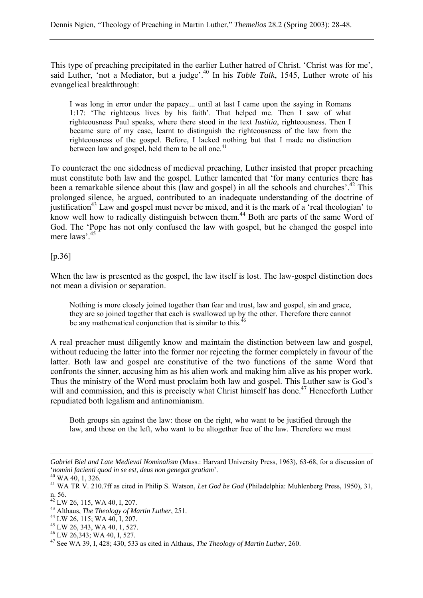This type of preaching precipitated in the earlier Luther hatred of Christ. 'Christ was for me', said Luther, 'not a Mediator, but a judge'.<sup>40</sup> In his *Table Talk*, 1545, Luther wrote of his evangelical breakthrough:

I was long in error under the papacy... until at last I came upon the saying in Romans 1:17: 'The righteous lives by his faith'. That helped me. Then I saw of what righteousness Paul speaks, where there stood in the text *Iustitia*, righteousness. Then I became sure of my case, learnt to distinguish the righteousness of the law from the righteousness of the gospel. Before, I lacked nothing but that I made no distinction between law and gospel, held them to be all one.<sup>41</sup>

To counteract the one sidedness of medieval preaching, Luther insisted that proper preaching must constitute both law and the gospel. Luther lamented that 'for many centuries there has been a remarkable silence about this (law and gospel) in all the schools and churches'.<sup>42</sup> This prolonged silence, he argued, contributed to an inadequate understanding of the doctrine of justification<sup>43</sup> Law and gospel must never be mixed, and it is the mark of a 'real theologian' to know well how to radically distinguish between them.<sup>44</sup> Both are parts of the same Word of God. The 'Pope has not only confused the law with gospel, but he changed the gospel into mere laws'.45

[p.36]

When the law is presented as the gospel, the law itself is lost. The law-gospel distinction does not mean a division or separation.

Nothing is more closely joined together than fear and trust, law and gospel, sin and grace, they are so joined together that each is swallowed up by the other. Therefore there cannot be any mathematical conjunction that is similar to this.<sup>46</sup>

A real preacher must diligently know and maintain the distinction between law and gospel, without reducing the latter into the former nor rejecting the former completely in favour of the latter. Both law and gospel are constitutive of the two functions of the same Word that confronts the sinner, accusing him as his alien work and making him alive as his proper work. Thus the ministry of the Word must proclaim both law and gospel. This Luther saw is God's will and commission, and this is precisely what Christ himself has done.<sup>47</sup> Henceforth Luther repudiated both legalism and antinomianism.

Both groups sin against the law: those on the right, who want to be justified through the law, and those on the left, who want to be altogether free of the law. Therefore we must

*Gabriel Biel and Late Medieval Nominalism* (Mass.: Harvard University Press, 1963), 63-68, for a discussion of '*nomini facienti quod in se est, deus non genegat gratiam*'. 40 WA 40, 1, 326.

<sup>41</sup> WA TR V. 210.7ff as cited in Philip S. Watson, *Let God be God* (Philadelphia: Muhlenberg Press, 1950), 31, n. 56.

 $^{42}$  LW 26, 115, WA 40, I, 207.

<sup>43</sup> Althaus, *The Theology of Martin Luther*, 251. 44 LW 26, 115; WA 40, I, 207.

<sup>45</sup> LW 26, 343, WA 40, 1, 527.

<sup>46</sup> LW 26,343; WA 40, I, 527.

<sup>47</sup> See WA 39, I, 428; 430, 533 as cited in Althaus, *The Theology of Martin Luther*, 260.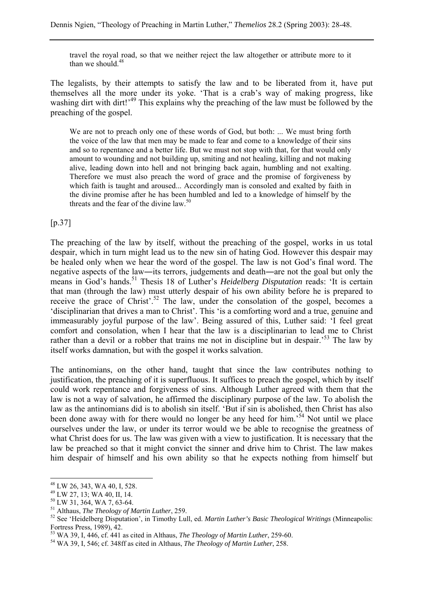travel the royal road, so that we neither reject the law altogether or attribute more to it than we should.<sup>48</sup>

The legalists, by their attempts to satisfy the law and to be liberated from it, have put themselves all the more under its yoke. 'That is a crab's way of making progress, like washing dirt with dirt!<sup>49</sup> This explains why the preaching of the law must be followed by the preaching of the gospel.

We are not to preach only one of these words of God, but both: ... We must bring forth the voice of the law that men may be made to fear and come to a knowledge of their sins and so to repentance and a better life. But we must not stop with that, for that would only amount to wounding and not building up, smiting and not healing, killing and not making alive, leading down into hell and not bringing back again, humbling and not exalting. Therefore we must also preach the word of grace and the promise of forgiveness by which faith is taught and aroused... Accordingly man is consoled and exalted by faith in the divine promise after he has been humbled and led to a knowledge of himself by the threats and the fear of the divine law.<sup>50</sup>

[p.37]

The preaching of the law by itself, without the preaching of the gospel, works in us total despair, which in turn might lead us to the new sin of hating God. However this despair may be healed only when we hear the word of the gospel. The law is not God's final word. The negative aspects of the law―its terrors, judgements and death―are not the goal but only the means in God's hands.<sup>51</sup> Thesis 18 of Luther's *Heidelberg Disputation* reads: 'It is certain that man (through the law) must utterly despair of his own ability before he is prepared to receive the grace of Christ'.<sup>52</sup> The law, under the consolation of the gospel, becomes a 'disciplinarian that drives a man to Christ'. This 'is a comforting word and a true, genuine and immeasurably joyful purpose of the law'. Being assured of this, Luther said: 'I feel great comfort and consolation, when I hear that the law is a disciplinarian to lead me to Christ rather than a devil or a robber that trains me not in discipline but in despair.<sup>53</sup> The law by itself works damnation, but with the gospel it works salvation.

The antinomians, on the other hand, taught that since the law contributes nothing to justification, the preaching of it is superfluous. It suffices to preach the gospel, which by itself could work repentance and forgiveness of sins. Although Luther agreed with them that the law is not a way of salvation, he affirmed the disciplinary purpose of the law. To abolish the law as the antinomians did is to abolish sin itself. 'But if sin is abolished, then Christ has also been done away with for there would no longer be any heed for him.<sup>54</sup> Not until we place ourselves under the law, or under its terror would we be able to recognise the greatness of what Christ does for us. The law was given with a view to justification. It is necessary that the law be preached so that it might convict the sinner and drive him to Christ. The law makes him despair of himself and his own ability so that he expects nothing from himself but

<sup>48</sup> LW 26, 343, WA 40, I, 528.

<sup>49</sup> LW 27, 13; WA 40, II, 14.

 $^{50}$  LW 31, 364, WA 7, 63-64.<br><sup>51</sup> Althaus, *The Theology of Martin Luther*, 259.

<sup>&</sup>lt;sup>52</sup> See 'Heidelberg Disputation', in Timothy Lull, ed. *Martin Luther's Basic Theological Writings* (Minneapolis: Fortress Press, 1989), 42.

<sup>53</sup> WA 39, I, 446, cf. 441 as cited in Althaus, *The Theology of Martin Luther*, 259-60. 54 WA 39, I, 546; cf. 348ff as cited in Althaus, *The Theology of Martin Luther*, 258.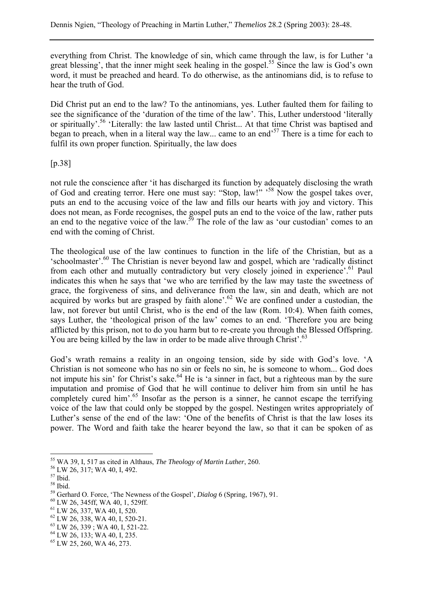everything from Christ. The knowledge of sin, which came through the law, is for Luther 'a great blessing', that the inner might seek healing in the gospel.<sup>55</sup> Since the law is God's own word, it must be preached and heard. To do otherwise, as the antinomians did, is to refuse to hear the truth of God.

Did Christ put an end to the law? To the antinomians, yes. Luther faulted them for failing to see the significance of the 'duration of the time of the law'. This, Luther understood 'literally or spiritually'.56 'Literally: the law lasted until Christ... At that time Christ was baptised and began to preach, when in a literal way the law... came to an end<sup>57</sup> There is a time for each to fulfil its own proper function. Spiritually, the law does

[p.38]

not rule the conscience after 'it has discharged its function by adequately disclosing the wrath of God and creating terror. Here one must say: "Stop, law!" '<sup>58</sup> Now the gospel takes over, puts an end to the accusing voice of the law and fills our hearts with joy and victory. This does not mean, as Forde recognises, the gospel puts an end to the voice of the law, rather puts an end to the negative voice of the law.<sup>59</sup> The role of the law as 'our custodian' comes to an end with the coming of Christ.

The theological use of the law continues to function in the life of the Christian, but as a 'schoolmaster'.60 The Christian is never beyond law and gospel, which are 'radically distinct from each other and mutually contradictory but very closely joined in experience'.<sup>61</sup> Paul indicates this when he says that 'we who are terrified by the law may taste the sweetness of grace, the forgiveness of sins, and deliverance from the law, sin and death, which are not acquired by works but are grasped by faith alone'.<sup>62</sup> We are confined under a custodian, the law, not forever but until Christ, who is the end of the law (Rom. 10:4). When faith comes, says Luther, the 'theological prison of the law' comes to an end. 'Therefore you are being afflicted by this prison, not to do you harm but to re-create you through the Blessed Offspring. You are being killed by the law in order to be made alive through Christ'.<sup>63</sup>

God's wrath remains a reality in an ongoing tension, side by side with God's love. 'A Christian is not someone who has no sin or feels no sin, he is someone to whom... God does not impute his sin' for Christ's sake.<sup>64</sup> He is 'a sinner in fact, but a righteous man by the sure imputation and promise of God that he will continue to deliver him from sin until he has completely cured him'.<sup>65</sup> Insofar as the person is a sinner, he cannot escape the terrifying voice of the law that could only be stopped by the gospel. Nestingen writes appropriately of Luther's sense of the end of the law: 'One of the benefits of Christ is that the law loses its power. The Word and faith take the hearer beyond the law, so that it can be spoken of as

<sup>55</sup> WA 39, I, 517 as cited in Althaus, *The Theology of Martin Luther*, 260. 56 LW 26, 317; WA 40, I, 492.

<sup>57</sup> Ibid.

<sup>58</sup> Ibid.

<sup>&</sup>lt;sup>59</sup> Gerhard O. Force, 'The Newness of the Gospel', *Dialog* 6 (Spring, 1967), 91. <sup>60</sup> LW 26, 345ff, WA 40, 1, 529ff.

<sup>61</sup> LW 26, 337, WA 40, I, 520.

<sup>62</sup> LW 26, 338, WA 40, I, 520-21.

 $63$  LW 26, 339; WA 40, I, 521-22.

<sup>64</sup> LW 26, 133; WA 40, I, 235.

 $65$  LW 25, 260, WA 46, 273.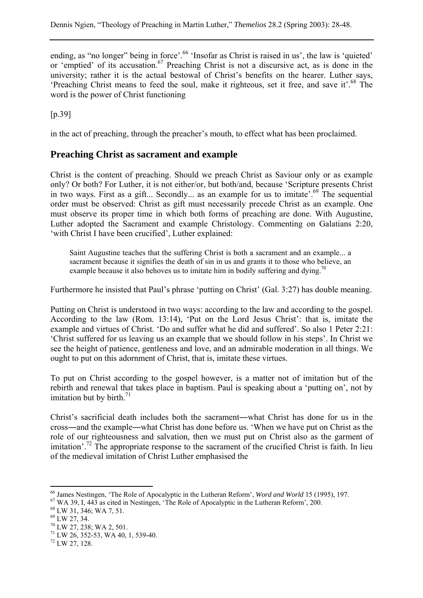ending, as "no longer" being in force'.<sup>66</sup> 'Insofar as Christ is raised in us', the law is 'quieted' or 'emptied' of its accusation.<sup>67</sup> Preaching Christ is not a discursive act, as is done in the university; rather it is the actual bestowal of Christ's benefits on the hearer. Luther says, 'Preaching Christ means to feed the soul, make it righteous, set it free, and save it'.<sup>68</sup> The word is the power of Christ functioning

[p.39]

in the act of preaching, through the preacher's mouth, to effect what has been proclaimed.

# **Preaching Christ as sacrament and example**

Christ is the content of preaching. Should we preach Christ as Saviour only or as example only? Or both? For Luther, it is not either/or, but both/and, because 'Scripture presents Christ in two ways. First as a gift... Secondly... as an example for us to imitate'.<sup>69</sup> The sequential order must be observed: Christ as gift must necessarily precede Christ as an example. One must observe its proper time in which both forms of preaching are done. With Augustine, Luther adopted the Sacrament and example Christology. Commenting on Galatians 2:20, 'with Christ I have been crucified', Luther explained:

Saint Augustine teaches that the suffering Christ is both a sacrament and an example... a sacrament because it signifies the death of sin in us and grants it to those who believe, an example because it also behoves us to imitate him in bodily suffering and dying.<sup>70</sup>

Furthermore he insisted that Paul's phrase 'putting on Christ' (Gal. 3:27) has double meaning.

Putting on Christ is understood in two ways: according to the law and according to the gospel. According to the law (Rom. 13:14), 'Put on the Lord Jesus Christ': that is, imitate the example and virtues of Christ. 'Do and suffer what he did and suffered'. So also 1 Peter 2:21: 'Christ suffered for us leaving us an example that we should follow in his steps'. In Christ we see the height of patience, gentleness and love, and an admirable moderation in all things. We ought to put on this adornment of Christ, that is, imitate these virtues.

To put on Christ according to the gospel however, is a matter not of imitation but of the rebirth and renewal that takes place in baptism. Paul is speaking about a 'putting on', not by imitation but by birth. $71$ 

Christ's sacrificial death includes both the sacrament―what Christ has done for us in the cross―and the example―what Christ has done before us. 'When we have put on Christ as the role of our righteousness and salvation, then we must put on Christ also as the garment of imitation'.<sup>72</sup> The appropriate response to the sacrament of the crucified Christ is faith. In lieu of the medieval imitation of Christ Luther emphasised the

<sup>&</sup>lt;sup>66</sup> James Nestingen, 'The Role of Apocalyptic in the Lutheran Reform', *Word and World* 15 (1995), 197.<br><sup>67</sup> WA 39, I, 443 as cited in Nestingen, 'The Role of Apocalyptic in the Lutheran Reform', 200.<br><sup>68</sup> LW 31, 346; WA

 $69$  LW 27, 34.

 $70$  LW 27, 238; WA 2, 501.

 $71$  LW 26, 352-53, WA 40, 1, 539-40.

<sup>72</sup> LW 27, 128.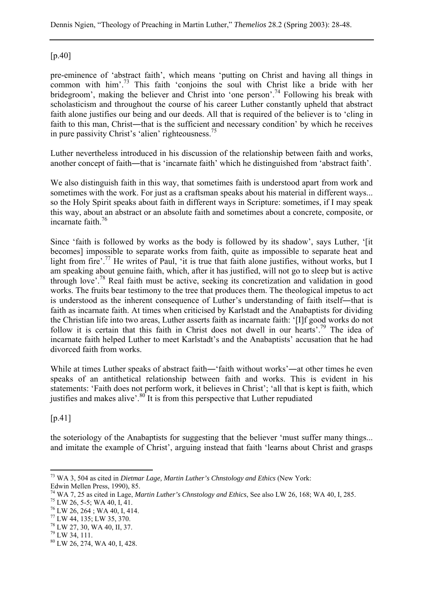### [p.40]

pre-eminence of 'abstract faith', which means 'putting on Christ and having all things in common with him'.<sup>73</sup> This faith 'conjoins the soul with Christ like a bride with her bridegroom', making the believer and Christ into 'one person'.<sup>74</sup> Following his break with scholasticism and throughout the course of his career Luther constantly upheld that abstract faith alone justifies our being and our deeds. All that is required of the believer is to 'cling in faith to this man, Christ—that is the sufficient and necessary condition' by which he receives in pure passivity Christ's 'alien' righteousness.75

Luther nevertheless introduced in his discussion of the relationship between faith and works, another concept of faith—that is 'incarnate faith' which he distinguished from 'abstract faith'.

We also distinguish faith in this way, that sometimes faith is understood apart from work and sometimes with the work. For just as a craftsman speaks about his material in different ways... so the Holy Spirit speaks about faith in different ways in Scripture: sometimes, if I may speak this way, about an abstract or an absolute faith and sometimes about a concrete, composite, or incarnate faith.76

Since 'faith is followed by works as the body is followed by its shadow', says Luther, '[it becomes] impossible to separate works from faith, quite as impossible to separate heat and light from fire'.<sup>77</sup> He writes of Paul, 'it is true that faith alone justifies, without works, but I am speaking about genuine faith, which, after it has justified, will not go to sleep but is active through love'.78 Real faith must be active, seeking its concretization and validation in good works. The fruits bear testimony to the tree that produces them. The theological impetus to act is understood as the inherent consequence of Luther's understanding of faith itself—that is faith as incarnate faith. At times when criticised by Karlstadt and the Anabaptists for dividing the Christian life into two areas, Luther asserts faith as incarnate faith: '[I]f good works do not follow it is certain that this faith in Christ does not dwell in our hearts'.<sup>79</sup> The idea of incarnate faith helped Luther to meet Karlstadt's and the Anabaptists' accusation that he had divorced faith from works.

While at times Luther speaks of abstract faith—'faith without works'—at other times he even speaks of an antithetical relationship between faith and works. This is evident in his statements: 'Faith does not perform work, it believes in Christ'; 'all that is kept is faith, which justifies and makes alive'. $80^{\circ}$  It is from this perspective that Luther repudiated

[p.41]

the soteriology of the Anabaptists for suggesting that the believer 'must suffer many things... and imitate the example of Christ', arguing instead that faith 'learns about Christ and grasps

 $\overline{a}$ 73 WA 3, 504 as cited in *Dietmar Lage, Martin Luther's Chnstology and Ethics* (New York: Edwin Mellen Press, 1990), 85.

<sup>&</sup>lt;sup>74</sup> WA 7, 25 as cited in Lage, *Martin Luther's Chnstology and Ethics*, See also LW 26, 168; WA 40, I, 285.<br><sup>75</sup> LW 26, 5-5; WA 40, I, 41.

 $^{76}$  LW 26, 264; WA 40, I, 414.

<sup>77</sup> LW 44, 135; LW 35, 370.

<sup>78</sup> LW 27, 30, WA 40, II, 37.

 $^{79}$  LW 34, 111.

<sup>80</sup> LW 26, 274, WA 40, I, 428.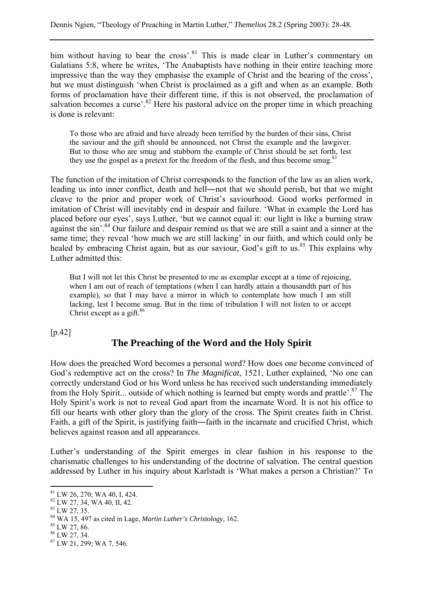him without having to bear the cross'.<sup>81</sup> This is made clear in Luther's commentary on Galatians 5:8, where he writes, 'The Anabaptists have nothing in their entire teaching more impressive than the way they emphasise the example of Christ and the bearing of the cross', but we must distinguish 'when Christ is proclaimed as a gift and when as an example. Both forms of proclamation have their different time, if this is not observed, the proclamation of salvation becomes a curse'.<sup>82</sup> Here his pastoral advice on the proper time in which preaching is done is relevant:

To those who are afraid and have already been terrified by the burden of their sins, Christ the saviour and the gift should be announced, not Christ the example and the lawgiver. But to those who are smug and stubborn the example of Christ should be set forth, lest they use the gospel as a pretext for the freedom of the flesh, and thus become smug.<sup>83</sup>

The function of the imitation of Christ corresponds to the function of the law as an alien work, leading us into inner conflict, death and hell―not that we should perish, but that we might cleave to the prior and proper work of Christ's saviourhood. Good works performed in imitation of Christ will inevitably end in despair and failure. 'What in example the Lord has placed before our eyes', says Luther, 'but we cannot equal it: our light is like a burning straw against the sin'.<sup>84</sup> Our failure and despair remind us that we are still a saint and a sinner at the same time; they reveal 'how much we are still lacking' in our faith, and which could only be healed by embracing Christ again, but as our saviour. God's gift to us.<sup>85</sup> This explains why Luther admitted this:

But I will not let this Christ be presented to me as exemplar except at a time of rejoicing, when I am out of reach of temptations (when I can hardly attain a thousandth part of his example), so that I may have a mirror in which to contemplate how much I am still lacking, lest I become smug. But in the time of tribulation I will not listen to or accept Christ except as a gift. $86$ 

[p.42]

# **The Preaching of the Word and the Holy Spirit**

How does the preached Word becomes a personal word? How does one become convinced of God's redemptive act on the cross? In *The Magnificat*, 1521, Luther explained, 'No one can correctly understand God or his Word unless he has received such understanding immediately from the Holy Spirit... outside of which nothing is learned but empty words and prattle<sup>'. 87</sup> The Holy Spirit's work is not to reveal God apart from the incarnate Word. It is not his office to fill our hearts with other glory than the glory of the cross. The Spirit creates faith in Christ. Faith, a gift of the Spirit, is justifying faith―faith in the incarnate and crucified Christ, which believes against reason and all appearances.

Luther's understanding of the Spirit emerges in clear fashion in his response to the charismatic challenges to his understanding of the doctrine of salvation. The central question addressed by Luther in his inquiry about Karlstadt is 'What makes a person a Christian?' To

<sup>81</sup> LW 26, 270; WA 40, I, 424.

<sup>82</sup> LW 27, 34, WA 40, II, 42.

 $83$  LW 27, 35.

<sup>84</sup> WA 15, 497 as cited in Lage, *Martin Luther's Christology*, 162. 85 LW 27, 86.

<sup>86</sup> LW 27, 34.

<sup>87</sup> LW 21, 299; WA 7, 546.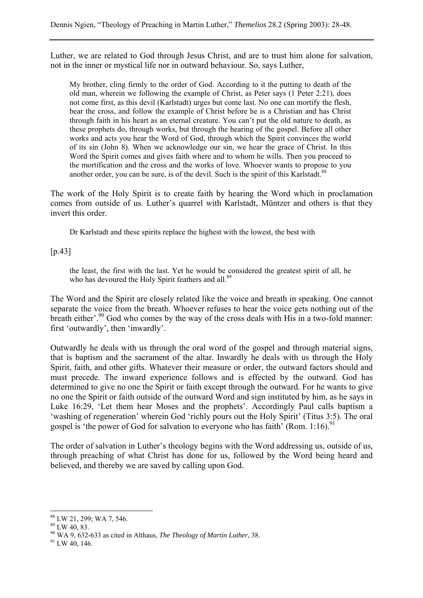Luther, we are related to God through Jesus Christ, and are to trust him alone for salvation, not in the inner or mystical life nor in outward behaviour. So, says Luther,

My brother, cling firmly to the order of God. According to it the putting to death of the old man, wherein we following the example of Christ, as Peter says (1 Peter 2:21), does not come first, as this devil (Karlstadt) urges but come last. No one can mortify the flesh, bear the cross, and follow the example of Christ before he is a Christian and has Christ through faith in his heart as an eternal creature. You can't put the old nature to death, as these prophets do, through works, but through the hearing of the gospel. Before all other works and acts you hear the Word of God, through which the Spirit convinces the world of its sin (John 8). When we acknowledge our sin, we hear the grace of Christ. In this Word the Spirit comes and gives faith where and to whom he wills. Then you proceed to the mortification and the cross and the works of love. Whoever wants to propose to you another order, you can be sure, is of the devil. Such is the spirit of this Karlstadt.<sup>88</sup>

The work of the Holy Spirit is to create faith by hearing the Word which in proclamation comes from outside of us. Luther's quarrel with Karlstadt, Müntzer and others is that they invert this order.

Dr Karlstadt and these spirits replace the highest with the lowest, the best with

#### $[p.43]$

the least, the first with the last. Yet he would be considered the greatest spirit of all, he who has devoured the Holy Spirit feathers and all.<sup>89</sup>

The Word and the Spirit are closely related like the voice and breath in speaking. One cannot separate the voice from the breath. Whoever refuses to hear the voice gets nothing out of the breath either'.<sup>90</sup> God who comes by the way of the cross deals with His in a two-fold manner: first 'outwardly', then 'inwardly'.

Outwardly he deals with us through the oral word of the gospel and through material signs, that is baptism and the sacrament of the altar. Inwardly he deals with us through the Holy Spirit, faith, and other gifts. Whatever their measure or order, the outward factors should and must precede. The inward experience follows and is effected by the outward. God has determined to give no one the Spirit or faith except through the outward. For he wants to give no one the Spirit or faith outside of the outward Word and sign instituted by him, as he says in Luke 16:29, 'Let them hear Moses and the prophets'. Accordingly Paul calls baptism a 'washing of regeneration' wherein God 'richly pours out the Holy Spirit' (Titus 3:5). The oral gospel is 'the power of God for salvation to everyone who has faith' (Rom. 1:16).<sup>91</sup>

The order of salvation in Luther's theology begins with the Word addressing us, outside of us, through preaching of what Christ has done for us, followed by the Word being heard and believed, and thereby we are saved by calling upon God.

<sup>88</sup> LW 21, 299; WA 7, 546.

<sup>89</sup> LW 40, 83.

<sup>90</sup> WA 9, 632-633 as cited in Althaus, *The Theology of Martin Luther*, 38. 91 LW 40, 146.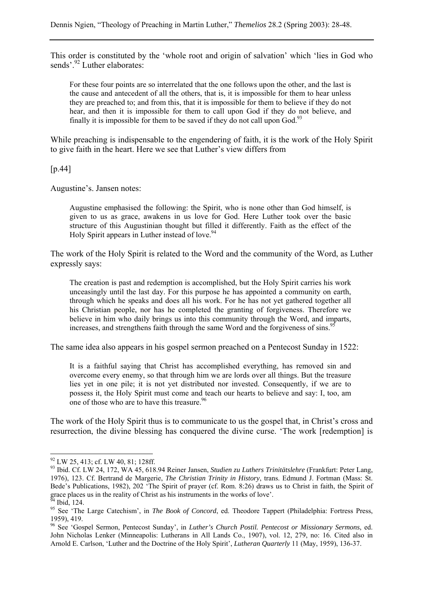This order is constituted by the 'whole root and origin of salvation' which 'lies in God who sends'.<sup>92</sup> Luther elaborates:

For these four points are so interrelated that the one follows upon the other, and the last is the cause and antecedent of all the others, that is, it is impossible for them to hear unless they are preached to; and from this, that it is impossible for them to believe if they do not hear, and then it is impossible for them to call upon God if they do not believe, and finally it is impossible for them to be saved if they do not call upon  $God<sup>9</sup>$ .

While preaching is indispensable to the engendering of faith, it is the work of the Holy Spirit to give faith in the heart. Here we see that Luther's view differs from

[p.44]

Augustine's. Jansen notes:

Augustine emphasised the following: the Spirit, who is none other than God himself, is given to us as grace, awakens in us love for God. Here Luther took over the basic structure of this Augustinian thought but filled it differently. Faith as the effect of the Holy Spirit appears in Luther instead of love.<sup>94</sup>

The work of the Holy Spirit is related to the Word and the community of the Word, as Luther expressly says:

The creation is past and redemption is accomplished, but the Holy Spirit carries his work unceasingly until the last day. For this purpose he has appointed a community on earth, through which he speaks and does all his work. For he has not yet gathered together all his Christian people, nor has he completed the granting of forgiveness. Therefore we believe in him who daily brings us into this community through the Word, and imparts, increases, and strengthens faith through the same Word and the forgiveness of sins.<sup>95</sup>

The same idea also appears in his gospel sermon preached on a Pentecost Sunday in 1522:

It is a faithful saying that Christ has accomplished everything, has removed sin and overcome every enemy, so that through him we are lords over all things. But the treasure lies yet in one pile; it is not yet distributed nor invested. Consequently, if we are to possess it, the Holy Spirit must come and teach our hearts to believe and say: I, too, am one of those who are to have this treasure.<sup>96</sup>

The work of the Holy Spirit thus is to communicate to us the gospel that, in Christ's cross and resurrection, the divine blessing has conquered the divine curse. 'The work [redemption] is

 $92$  LW 25, 413; cf. LW 40, 81; 128ff.

<sup>93</sup> Ibid. Cf. LW 24, 172, WA 45, 618.94 Reiner Jansen, *Studien zu Luthers Trinitätslehre* (Frankfurt: Peter Lang, 1976), 123. Cf. Bertrand de Margerie, *The Christian Trinity in History*, trans. Edmund J. Fortman (Mass: St. Bede's Publications, 1982), 202 'The Spirit of prayer (cf. Rom. 8:26) draws us to Christ in faith, the Spirit of grace places us in the reality of Christ as his instruments in the works of love'.<br><sup>94</sup> Ibid. 124.

<sup>&</sup>lt;sup>95</sup> See 'The Large Catechism', in *The Book of Concord*, ed. Theodore Tappert (Philadelphia: Fortress Press, 1959), 419.

<sup>96</sup> See 'Gospel Sermon, Pentecost Sunday', in *Luther's Church Postil. Pentecost or Missionary Sermons*, ed. John Nicholas Lenker (Minneapolis: Lutherans in All Lands Co., 1907), vol. 12, 279, no: 16. Cited also in Arnold E. Carlson, 'Luther and the Doctrine of the Holy Spirit', *Lutheran Quarterly* 11 (May, 1959), 136-37.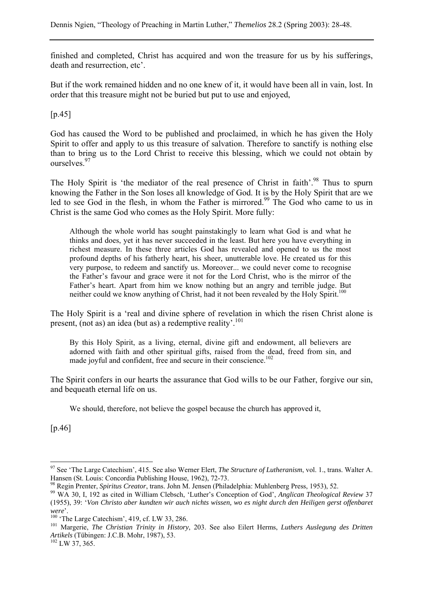finished and completed, Christ has acquired and won the treasure for us by his sufferings, death and resurrection, etc'.

But if the work remained hidden and no one knew of it, it would have been all in vain, lost. In order that this treasure might not be buried but put to use and enjoyed,

[p.45]

God has caused the Word to be published and proclaimed, in which he has given the Holy Spirit to offer and apply to us this treasure of salvation. Therefore to sanctify is nothing else than to bring us to the Lord Christ to receive this blessing, which we could not obtain by ourselves.<sup>97</sup>

The Holy Spirit is 'the mediator of the real presence of Christ in faith'.<sup>98</sup> Thus to spurn knowing the Father in the Son loses all knowledge of God. It is by the Holy Spirit that are we led to see God in the flesh, in whom the Father is mirrored.<sup>99</sup> The God who came to us in Christ is the same God who comes as the Holy Spirit. More fully:

Although the whole world has sought painstakingly to learn what God is and what he thinks and does, yet it has never succeeded in the least. But here you have everything in richest measure. In these three articles God has revealed and opened to us the most profound depths of his fatherly heart, his sheer, unutterable love. He created us for this very purpose, to redeem and sanctify us. Moreover... we could never come to recognise the Father's favour and grace were it not for the Lord Christ, who is the mirror of the Father's heart. Apart from him we know nothing but an angry and terrible judge. But neither could we know anything of Christ, had it not been revealed by the Holy Spirit.<sup>100</sup>

The Holy Spirit is a 'real and divine sphere of revelation in which the risen Christ alone is present, (not as) an idea (but as) a redemptive reality'.101

By this Holy Spirit, as a living, eternal, divine gift and endowment, all believers are adorned with faith and other spiritual gifts, raised from the dead, freed from sin, and made joyful and confident, free and secure in their conscience.<sup>102</sup>

The Spirit confers in our hearts the assurance that God wills to be our Father, forgive our sin, and bequeath eternal life on us.

We should, therefore, not believe the gospel because the church has approved it,

[p.46]

<sup>97</sup> See 'The Large Catechism', 415. See also Werner Elert, *The Structure of Lutheranism*, vol. 1., trans. Walter A. Hansen (St. Louis: Concordia Publishing House, 1962), 72-73.<br><sup>98</sup> Regin Prenter, *Spiritus Creator*, trans. John M. Jensen (Philadelphia: Muhlenberg Press, 1953), 52.

<sup>&</sup>lt;sup>99</sup> WA 30, I, 192 as cited in William Clebsch, 'Luther's Conception of God', *Anglican Theological Review* 37 (1955), 39: '*Von Christo aber kundten wir auch nichts wissen, wo es night durch den Heiligen gerst offenbaret* 

*were'*.<br><sup>100</sup> 'The Large Catechism', 419, cf. LW 33, 286. 101 Margerie, *Interpretier, <i>Luthers Auslegung des Dritten* <sup>101</sup> Margerie, *The Christian Trinity in History*, 203. See also Eilert Herms, *Luthers Auslegung des Artikels* (Tübingen: J.C.B. Mohr, 1987), 53. 102 LW 37, 365.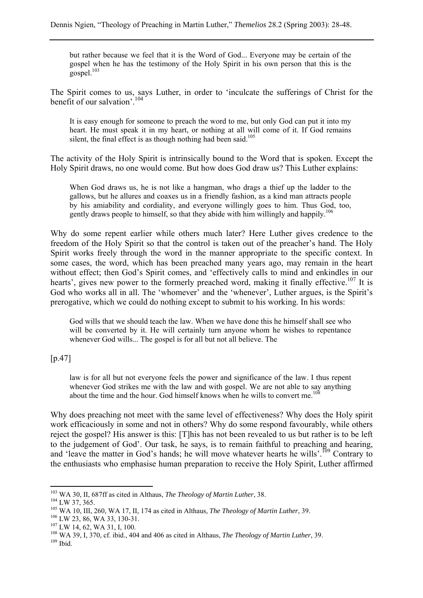but rather because we feel that it is the Word of God... Everyone may be certain of the gospel when he has the testimony of the Holy Spirit in his own person that this is the gospel. $103$ 

The Spirit comes to us, says Luther, in order to 'inculcate the sufferings of Christ for the benefit of our salvation'.104

It is easy enough for someone to preach the word to me, but only God can put it into my heart. He must speak it in my heart, or nothing at all will come of it. If God remains silent, the final effect is as though nothing had been said.<sup>105</sup>

The activity of the Holy Spirit is intrinsically bound to the Word that is spoken. Except the Holy Spirit draws, no one would come. But how does God draw us? This Luther explains:

When God draws us, he is not like a hangman, who drags a thief up the ladder to the gallows, but he allures and coaxes us in a friendly fashion, as a kind man attracts people by his amiability and cordiality, and everyone willingly goes to him. Thus God, too, gently draws people to himself, so that they abide with him willingly and happily.<sup>106</sup>

Why do some repent earlier while others much later? Here Luther gives credence to the freedom of the Holy Spirit so that the control is taken out of the preacher's hand. The Holy Spirit works freely through the word in the manner appropriate to the specific context. In some cases, the word, which has been preached many years ago, may remain in the heart without effect; then God's Spirit comes, and 'effectively calls to mind and enkindles in our hearts', gives new power to the formerly preached word, making it finally effective.<sup>107</sup> It is God who works all in all. The 'whomever' and the 'whenever', Luther argues, is the Spirit's prerogative, which we could do nothing except to submit to his working. In his words:

God wills that we should teach the law. When we have done this he himself shall see who will be converted by it. He will certainly turn anyone whom he wishes to repentance whenever God wills... The gospel is for all but not all believe. The

 $[p.47]$ 

law is for all but not everyone feels the power and significance of the law. I thus repent whenever God strikes me with the law and with gospel. We are not able to say anything about the time and the hour. God himself knows when he wills to convert me.<sup>108</sup>

Why does preaching not meet with the same level of effectiveness? Why does the Holy spirit work efficaciously in some and not in others? Why do some respond favourably, while others reject the gospel? His answer is this: [T]his has not been revealed to us but rather is to be left to the judgement of God'. Our task, he says, is to remain faithful to preaching and hearing, and 'leave the matter in God's hands; he will move whatever hearts he wills'.<sup>109</sup> Contrary to the enthusiasts who emphasise human preparation to receive the Holy Spirit, Luther affirmed

<sup>&</sup>lt;sup>103</sup> WA 30. II. 687ff as cited in Althaus, *The Theology of Martin Luther*, 38.

<sup>&</sup>lt;sup>104</sup> LW 37, 365.<br><sup>105</sup> WA 10, III, 260, WA 17, II, 174 as cited in Althaus, *The Theology of Martin Luther*, 39.<br><sup>106</sup> LW 23, 86, WA 33, 130-31.<br><sup>107</sup> LW 14, 62, WA 31, I, 100.<br><sup>108</sup> WA 39, I, 370, cf. ibid., 404 and 406